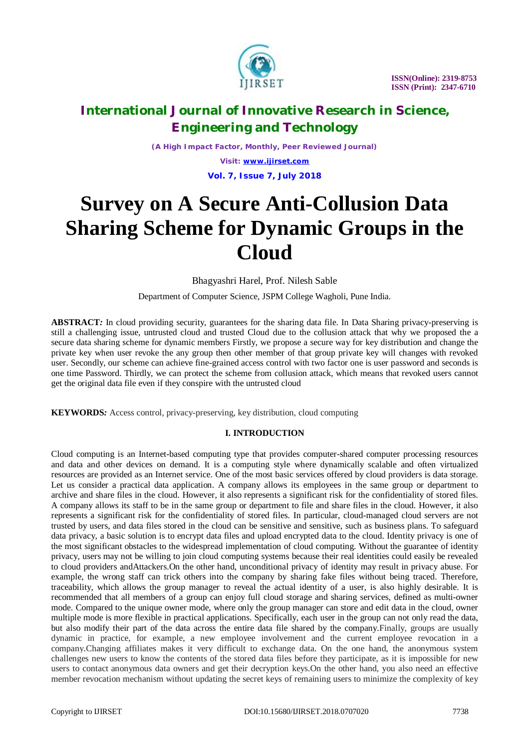

*(A High Impact Factor, Monthly, Peer Reviewed Journal)*

*Visit: [www.ijirset.com](http://www.ijirset.com)* **Vol. 7, Issue 7, July 2018**

# **Survey on A Secure Anti-Collusion Data Sharing Scheme for Dynamic Groups in the Cloud**

Bhagyashri Harel, Prof. Nilesh Sable

Department of Computer Science, JSPM College Wagholi, Pune India.

**ABSTRACT***:* In cloud providing security, guarantees for the sharing data file. In Data Sharing privacy-preserving is still a challenging issue, untrusted cloud and trusted Cloud due to the collusion attack that why we proposed the a secure data sharing scheme for dynamic members Firstly, we propose a secure way for key distribution and change the private key when user revoke the any group then other member of that group private key will changes with revoked user. Secondly, our scheme can achieve fine-grained access control with two factor one is user password and seconds is one time Password. Thirdly, we can protect the scheme from collusion attack, which means that revoked users cannot get the original data file even if they conspire with the untrusted cloud

**KEYWORDS***:* Access control, privacy-preserving, key distribution, cloud computing

### **I. INTRODUCTION**

Cloud computing is an Internet-based computing type that provides computer-shared computer processing resources and data and other devices on demand. It is a computing style where dynamically scalable and often virtualized resources are provided as an Internet service. One of the most basic services offered by cloud providers is data storage. Let us consider a practical data application. A company allows its employees in the same group or department to archive and share files in the cloud. However, it also represents a significant risk for the confidentiality of stored files. A company allows its staff to be in the same group or department to file and share files in the cloud. However, it also represents a significant risk for the confidentiality of stored files. In particular, cloud-managed cloud servers are not trusted by users, and data files stored in the cloud can be sensitive and sensitive, such as business plans. To safeguard data privacy, a basic solution is to encrypt data files and upload encrypted data to the cloud. Identity privacy is one of the most significant obstacles to the widespread implementation of cloud computing. Without the guarantee of identity privacy, users may not be willing to join cloud computing systems because their real identities could easily be revealed to cloud providers andAttackers.On the other hand, unconditional privacy of identity may result in privacy abuse. For example, the wrong staff can trick others into the company by sharing fake files without being traced. Therefore, traceability, which allows the group manager to reveal the actual identity of a user, is also highly desirable. It is recommended that all members of a group can enjoy full cloud storage and sharing services, defined as multi-owner mode. Compared to the unique owner mode, where only the group manager can store and edit data in the cloud, owner multiple mode is more flexible in practical applications. Specifically, each user in the group can not only read the data, but also modify their part of the data across the entire data file shared by the company.Finally, groups are usually dynamic in practice, for example, a new employee involvement and the current employee revocation in a company.Changing affiliates makes it very difficult to exchange data. On the one hand, the anonymous system challenges new users to know the contents of the stored data files before they participate, as it is impossible for new users to contact anonymous data owners and get their decryption keys.On the other hand, you also need an effective member revocation mechanism without updating the secret keys of remaining users to minimize the complexity of key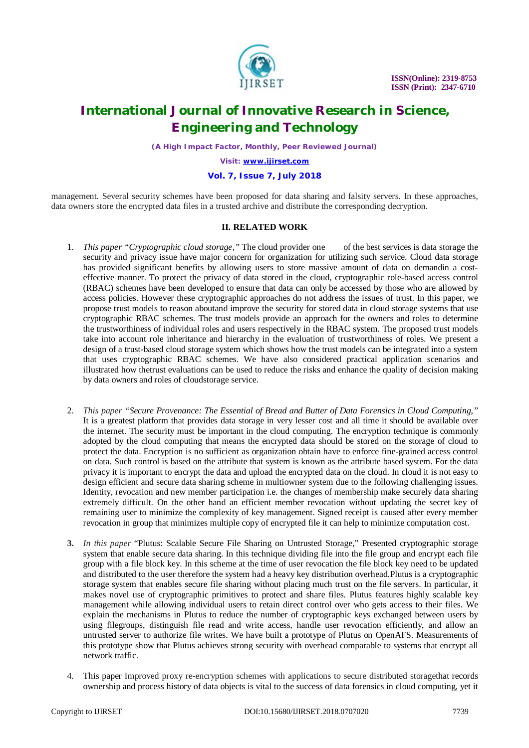

*(A High Impact Factor, Monthly, Peer Reviewed Journal)*

*Visit: [www.ijirset.com](http://www.ijirset.com)*

#### **Vol. 7, Issue 7, July 2018**

management. Several security schemes have been proposed for data sharing and falsity servers. In these approaches, data owners store the encrypted data files in a trusted archive and distribute the corresponding decryption.

### **II. RELATED WORK**

- 1. *This paper "Cryptographic cloud storage,"* The cloud provider one of the best services is data storage the security and privacy issue have major concern for organization for utilizing such service. Cloud data storage has provided significant benefits by allowing users to store massive amount of data on demandin a costeffective manner. To protect the privacy of data stored in the cloud, cryptographic role-based access control (RBAC) schemes have been developed to ensure that data can only be accessed by those who are allowed by access policies. However these cryptographic approaches do not address the issues of trust. In this paper, we propose trust models to reason aboutand improve the security for stored data in cloud storage systems that use cryptographic RBAC schemes. The trust models provide an approach for the owners and roles to determine the trustworthiness of individual roles and users respectively in the RBAC system. The proposed trust models take into account role inheritance and hierarchy in the evaluation of trustworthiness of roles. We present a design of a trust-based cloud storage system which shows how the trust models can be integrated into a system that uses cryptographic RBAC schemes. We have also considered practical application scenarios and illustrated how thetrust evaluations can be used to reduce the risks and enhance the quality of decision making by data owners and roles of cloudstorage service.
- 2. *This paper "Secure Provenance: The Essential of Bread and Butter of Data Forensics in Cloud Computing,"*  It is a greatest platform that provides data storage in very lesser cost and all time it should be available over the internet. The security must be important in the cloud computing. The encryption technique is commonly adopted by the cloud computing that means the encrypted data should be stored on the storage of cloud to protect the data. Encryption is no sufficient as organization obtain have to enforce fine-grained access control on data. Such control is based on the attribute that system is known as the attribute based system. For the data privacy it is important to encrypt the data and upload the encrypted data on the cloud. In cloud it is not easy to design efficient and secure data sharing scheme in multiowner system due to the following challenging issues. Identity, revocation and new member participation i.e. the changes of membership make securely data sharing extremely difficult. On the other hand an efficient member revocation without updating the secret key of remaining user to minimize the complexity of key management. Signed receipt is caused after every member revocation in group that minimizes multiple copy of encrypted file it can help to minimize computation cost.
- **3.** *In this paper* "Plutus: Scalable Secure File Sharing on Untrusted Storage," Presented cryptographic storage system that enable secure data sharing. In this technique dividing file into the file group and encrypt each file group with a file block key. In this scheme at the time of user revocation the file block key need to be updated and distributed to the user therefore the system had a heavy key distribution overhead.Plutus is a cryptographic storage system that enables secure file sharing without placing much trust on the file servers. In particular, it makes novel use of cryptographic primitives to protect and share files. Plutus features highly scalable key management while allowing individual users to retain direct control over who gets access to their files. We explain the mechanisms in Plutus to reduce the number of cryptographic keys exchanged between users by using filegroups, distinguish file read and write access, handle user revocation efficiently, and allow an untrusted server to authorize file writes. We have built a prototype of Plutus on OpenAFS. Measurements of this prototype show that Plutus achieves strong security with overhead comparable to systems that encrypt all network traffic.
- 4. This paper Improved proxy re-encryption schemes with applications to secure distributed storagethat records ownership and process history of data objects is vital to the success of data forensics in cloud computing, yet it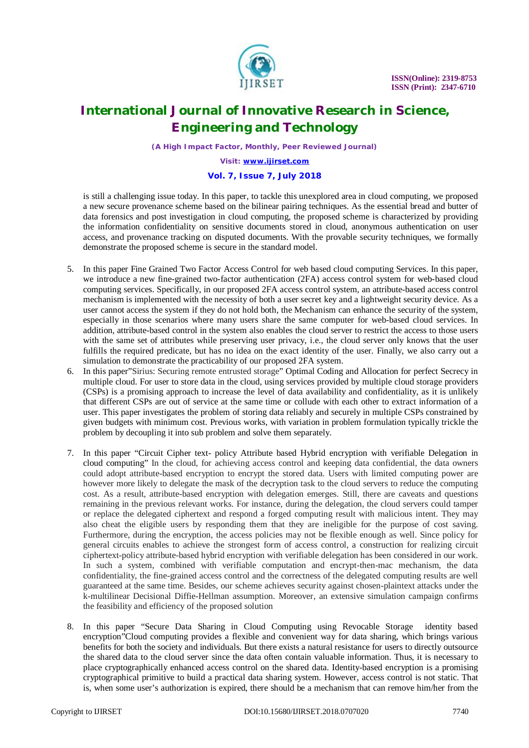

*(A High Impact Factor, Monthly, Peer Reviewed Journal)*

*Visit: [www.ijirset.com](http://www.ijirset.com)*

### **Vol. 7, Issue 7, July 2018**

is still a challenging issue today. In this paper, to tackle this unexplored area in cloud computing, we proposed a new secure provenance scheme based on the bilinear pairing techniques. As the essential bread and butter of data forensics and post investigation in cloud computing, the proposed scheme is characterized by providing the information confidentiality on sensitive documents stored in cloud, anonymous authentication on user access, and provenance tracking on disputed documents. With the provable security techniques, we formally demonstrate the proposed scheme is secure in the standard model.

- 5. In this paper Fine Grained Two Factor Access Control for web based cloud computing Services. In this paper, we introduce a new fine-grained two-factor authentication (2FA) access control system for web-based cloud computing services. Specifically, in our proposed 2FA access control system, an attribute-based access control mechanism is implemented with the necessity of both a user secret key and a lightweight security device. As a user cannot access the system if they do not hold both, the Mechanism can enhance the security of the system, especially in those scenarios where many users share the same computer for web-based cloud services. In addition, attribute-based control in the system also enables the cloud server to restrict the access to those users with the same set of attributes while preserving user privacy, i.e., the cloud server only knows that the user fulfills the required predicate, but has no idea on the exact identity of the user. Finally, we also carry out a simulation to demonstrate the practicability of our proposed 2FA system.
- 6. In this paper"Sirius: Securing remote entrusted storage" Optimal Coding and Allocation for perfect Secrecy in multiple cloud. For user to store data in the cloud, using services provided by multiple cloud storage providers (CSPs) is a promising approach to increase the level of data availability and confidentiality, as it is unlikely that different CSPs are out of service at the same time or collude with each other to extract information of a user. This paper investigates the problem of storing data reliably and securely in multiple CSPs constrained by given budgets with minimum cost. Previous works, with variation in problem formulation typically trickle the problem by decoupling it into sub problem and solve them separately.
- 7. In this paper "Circuit Cipher text- policy Attribute based Hybrid encryption with verifiable Delegation in cloud computing" In the cloud, for achieving access control and keeping data confidential, the data owners could adopt attribute-based encryption to encrypt the stored data. Users with limited computing power are however more likely to delegate the mask of the decryption task to the cloud servers to reduce the computing cost. As a result, attribute-based encryption with delegation emerges. Still, there are caveats and questions remaining in the previous relevant works. For instance, during the delegation, the cloud servers could tamper or replace the delegated ciphertext and respond a forged computing result with malicious intent. They may also cheat the eligible users by responding them that they are ineligible for the purpose of cost saving. Furthermore, during the encryption, the access policies may not be flexible enough as well. Since policy for general circuits enables to achieve the strongest form of access control, a construction for realizing circuit ciphertext-policy attribute-based hybrid encryption with verifiable delegation has been considered in our work. In such a system, combined with verifiable computation and encrypt-then-mac mechanism, the data confidentiality, the fine-grained access control and the correctness of the delegated computing results are well guaranteed at the same time. Besides, our scheme achieves security against chosen-plaintext attacks under the k-multilinear Decisional Diffie-Hellman assumption. Moreover, an extensive simulation campaign confirms the feasibility and efficiency of the proposed solution
- 8. In this paper "Secure Data Sharing in Cloud Computing using Revocable Storage identity based encryption"Cloud computing provides a flexible and convenient way for data sharing, which brings various benefits for both the society and individuals. But there exists a natural resistance for users to directly outsource the shared data to the cloud server since the data often contain valuable information. Thus, it is necessary to place cryptographically enhanced access control on the shared data. Identity-based encryption is a promising cryptographical primitive to build a practical data sharing system. However, access control is not static. That is, when some user's authorization is expired, there should be a mechanism that can remove him/her from the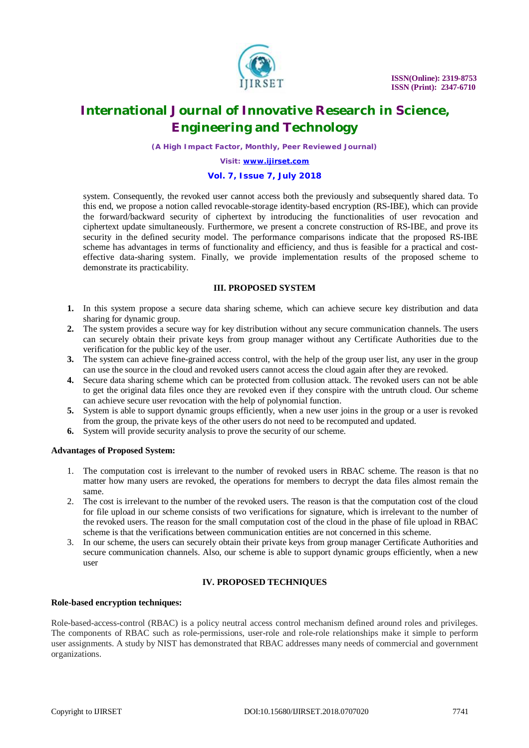

*(A High Impact Factor, Monthly, Peer Reviewed Journal)*

*Visit: [www.ijirset.com](http://www.ijirset.com)*

#### **Vol. 7, Issue 7, July 2018**

system. Consequently, the revoked user cannot access both the previously and subsequently shared data. To this end, we propose a notion called revocable-storage identity-based encryption (RS-IBE), which can provide the forward/backward security of ciphertext by introducing the functionalities of user revocation and ciphertext update simultaneously. Furthermore, we present a concrete construction of RS-IBE, and prove its security in the defined security model. The performance comparisons indicate that the proposed RS-IBE scheme has advantages in terms of functionality and efficiency, and thus is feasible for a practical and costeffective data-sharing system. Finally, we provide implementation results of the proposed scheme to demonstrate its practicability.

### **III. PROPOSED SYSTEM**

- **1.** In this system propose a secure data sharing scheme, which can achieve secure key distribution and data sharing for dynamic group.
- **2.** The system provides a secure way for key distribution without any secure communication channels. The users can securely obtain their private keys from group manager without any Certificate Authorities due to the verification for the public key of the user.
- **3.** The system can achieve fine-grained access control, with the help of the group user list, any user in the group can use the source in the cloud and revoked users cannot access the cloud again after they are revoked.
- **4.** Secure data sharing scheme which can be protected from collusion attack. The revoked users can not be able to get the original data files once they are revoked even if they conspire with the untruth cloud. Our scheme can achieve secure user revocation with the help of polynomial function.
- **5.** System is able to support dynamic groups efficiently, when a new user joins in the group or a user is revoked from the group, the private keys of the other users do not need to be recomputed and updated.
- **6.** System will provide security analysis to prove the security of our scheme.

#### **Advantages of Proposed System:**

- 1. The computation cost is irrelevant to the number of revoked users in RBAC scheme. The reason is that no matter how many users are revoked, the operations for members to decrypt the data files almost remain the same.
- 2. The cost is irrelevant to the number of the revoked users. The reason is that the computation cost of the cloud for file upload in our scheme consists of two verifications for signature, which is irrelevant to the number of the revoked users. The reason for the small computation cost of the cloud in the phase of file upload in RBAC scheme is that the verifications between communication entities are not concerned in this scheme.
- 3. In our scheme, the users can securely obtain their private keys from group manager Certificate Authorities and secure communication channels. Also, our scheme is able to support dynamic groups efficiently, when a new user

### **IV. PROPOSED TECHNIQUES**

#### **Role-based encryption techniques:**

Role-based-access-control (RBAC) is a policy neutral access control mechanism defined around roles and privileges. The components of RBAC such as role-permissions, user-role and role-role relationships make it simple to perform user assignments. A study by NIST has demonstrated that RBAC addresses many needs of commercial and government organizations.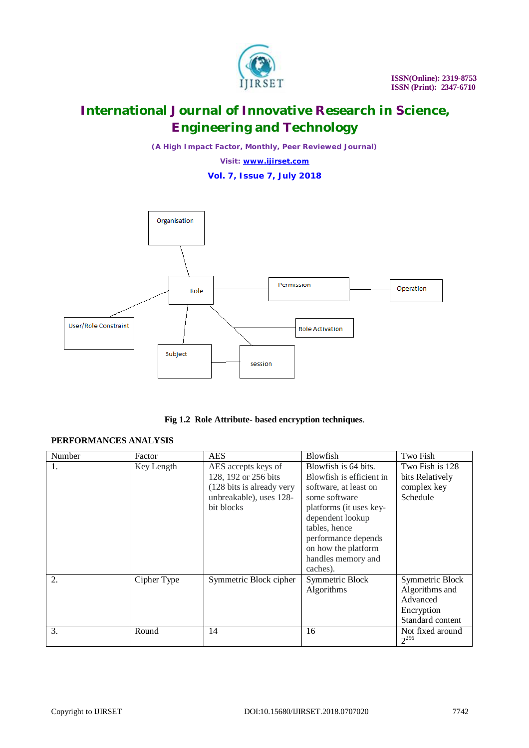

*(A High Impact Factor, Monthly, Peer Reviewed Journal)*

*Visit: [www.ijirset.com](http://www.ijirset.com)*





**Fig 1.2 Role Attribute- based encryption techniques**.

### **PERFORMANCES ANALYSIS**

| Number | Factor      | <b>AES</b>                                                                                                        | Blowfish                                                                                                                                                                                                                                   | Two Fish                                                                        |
|--------|-------------|-------------------------------------------------------------------------------------------------------------------|--------------------------------------------------------------------------------------------------------------------------------------------------------------------------------------------------------------------------------------------|---------------------------------------------------------------------------------|
| 1.     | Key Length  | AES accepts keys of<br>128, 192 or 256 bits<br>(128 bits is already very<br>unbreakable), uses 128-<br>bit blocks | Blowfish is 64 bits.<br>Blowfish is efficient in<br>software, at least on<br>some software<br>platforms (it uses key-<br>dependent lookup<br>tables, hence<br>performance depends<br>on how the platform<br>handles memory and<br>caches). | Two Fish is 128<br>bits Relatively<br>complex key<br>Schedule                   |
| 2.     | Cipher Type | Symmetric Block cipher                                                                                            | Symmetric Block<br>Algorithms                                                                                                                                                                                                              | Symmetric Block<br>Algorithms and<br>Advanced<br>Encryption<br>Standard content |
| 3.     | Round       | 14                                                                                                                | 16                                                                                                                                                                                                                                         | Not fixed around<br>$2^{256}$                                                   |